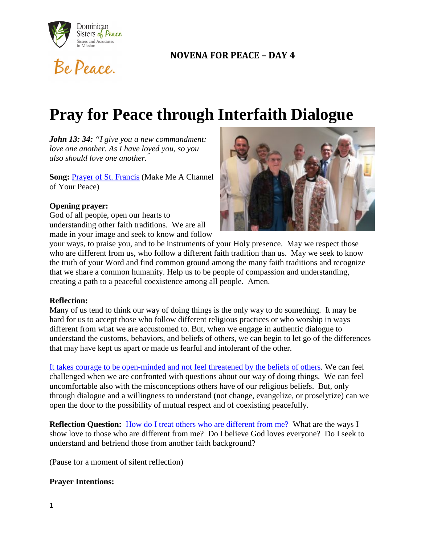

Be Peace.

# **NOVENA FOR PEACE – DAY 4**

# **Pray for Peace through Interfaith Dialogue**

*John 13: 34: "I give you a new commandment: love one another. As I have loved you, so you also should love one another."*

**Song:** [Prayer of St. Francis](https://www.youtube.com/watch?v=ZI1Gst7pEqc) (Make Me A Channel of Your Peace)

#### **Opening prayer:**

God of all people, open our hearts to understanding other faith traditions. We are all made in your image and seek to know and follow



your ways, to praise you, and to be instruments of your Holy presence. May we respect those who are different from us, who follow a different faith tradition than us. May we seek to know the truth of your Word and find common ground among the many faith traditions and recognize that we share a common humanity. Help us to be people of compassion and understanding, creating a path to a peaceful coexistence among all people. Amen.

#### **Reflection:**

Many of us tend to think our way of doing things is the only way to do something. It may be hard for us to accept those who follow different religious practices or who worship in ways different from what we are accustomed to. But, when we engage in authentic dialogue to understand the customs, behaviors, and beliefs of others, we can begin to let go of the differences that may have kept us apart or made us fearful and intolerant of the other.

[It takes courage to be open-minded and not feel threatened by the beliefs of others.](https://oppeace.org/blog/2017/11/01/akron-area-interfaith-council/) We can feel challenged when we are confronted with questions about our way of doing things. We can feel uncomfortable also with the misconceptions others have of our religious beliefs. But, only through dialogue and a willingness to understand (not change, evangelize, or proselytize) can we open the door to the possibility of mutual respect and of coexisting peacefully.

**Reflection Question:** [How do I treat others who are different from me?](http://globalsistersreport.org/news/trends-equality/reckoning-white-sisters-respond-their-own-racism-one-historians-call-justice) What are the ways I show love to those who are different from me? Do I believe God loves everyone? Do I seek to understand and befriend those from another faith background?

(Pause for a moment of silent reflection)

### **Prayer Intentions:**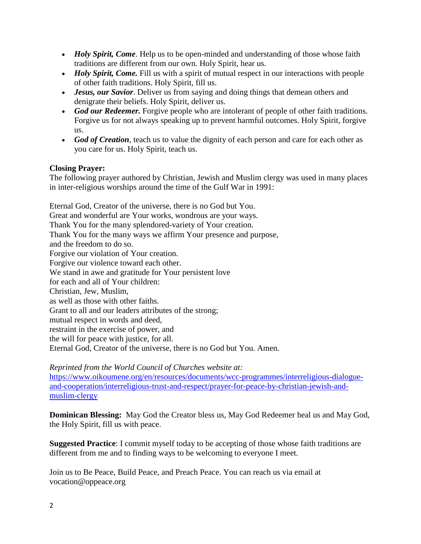- *Holy Spirit, Come*. Help us to be open-minded and understanding of those whose faith traditions are different from our own. Holy Spirit, hear us.
- *Holy Spirit, Come.* Fill us with a spirit of mutual respect in our interactions with people of other faith traditions. Holy Spirit, fill us.
- *Jesus, our Savior*. Deliver us from saying and doing things that demean others and denigrate their beliefs. Holy Spirit, deliver us.
- *God our Redeemer*. Forgive people who are intolerant of people of other faith traditions. Forgive us for not always speaking up to prevent harmful outcomes. Holy Spirit, forgive us.
- *God of Creation*, teach us to value the dignity of each person and care for each other as you care for us. Holy Spirit, teach us.

# **Closing Prayer:**

The following prayer authored by Christian, Jewish and Muslim clergy was used in many places in inter-religious worships around the time of the Gulf War in 1991:

Eternal God, Creator of the universe, there is no God but You. Great and wonderful are Your works, wondrous are your ways. Thank You for the many splendored-variety of Your creation. Thank You for the many ways we affirm Your presence and purpose, and the freedom to do so. Forgive our violation of Your creation. Forgive our violence toward each other. We stand in awe and gratitude for Your persistent love for each and all of Your children: Christian, Jew, Muslim, as well as those with other faiths. Grant to all and our leaders attributes of the strong; mutual respect in words and deed, restraint in the exercise of power, and the will for peace with justice, for all. Eternal God, Creator of the universe, there is no God but You. Amen.

*Reprinted from the World Council of Churches website at:* 

[https://www.oikoumene.org/en/resources/documents/wcc-programmes/interreligious-dialogue](https://www.oikoumene.org/en/resources/documents/wcc-programmes/interreligious-dialogue-and-cooperation/interreligious-trust-and-respect/prayer-for-peace-by-christian-jewish-and-muslim-clergy)[and-cooperation/interreligious-trust-and-respect/prayer-for-peace-by-christian-jewish-and](https://www.oikoumene.org/en/resources/documents/wcc-programmes/interreligious-dialogue-and-cooperation/interreligious-trust-and-respect/prayer-for-peace-by-christian-jewish-and-muslim-clergy)[muslim-clergy](https://www.oikoumene.org/en/resources/documents/wcc-programmes/interreligious-dialogue-and-cooperation/interreligious-trust-and-respect/prayer-for-peace-by-christian-jewish-and-muslim-clergy)

**Dominican Blessing:** May God the Creator bless us, May God Redeemer heal us and May God, the Holy Spirit, fill us with peace.

**Suggested Practice**: I commit myself today to be accepting of those whose faith traditions are different from me and to finding ways to be welcoming to everyone I meet.

Join us to Be Peace, Build Peace, and Preach Peace. You can reach us via email at vocation@oppeace.org